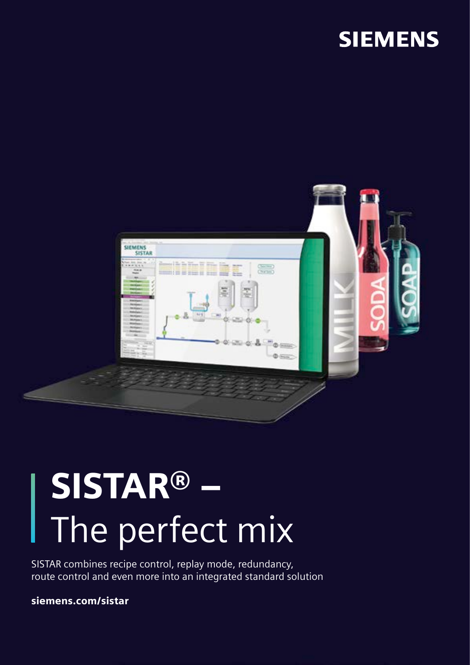# **SIEMENS**



# SISTAR® – The perfect mix

SISTAR combines recipe control, replay mode, redundancy, route control and even more into an integrated standard solution

siemens.com/sistar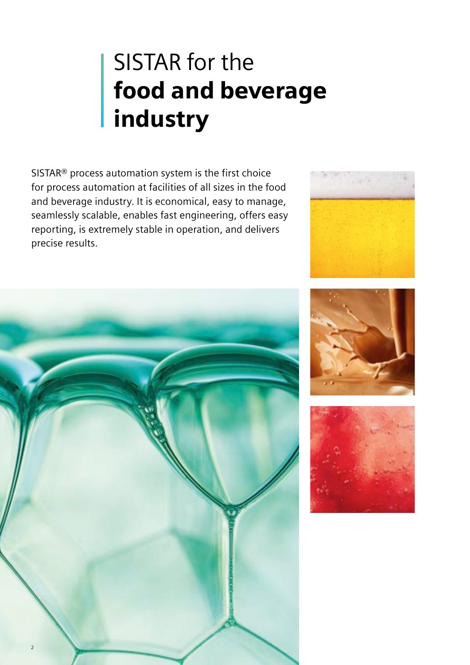# SISTAR for the food and beverage industry

SISTAR® process automation system is the first choice for process automation at facilities of all sizes in the food and beverage industry. It is economical, easy to manage, seamlessly scalable, enables fast engineering, offers easy reporting, is extremely stable in operation, and delivers precise results.







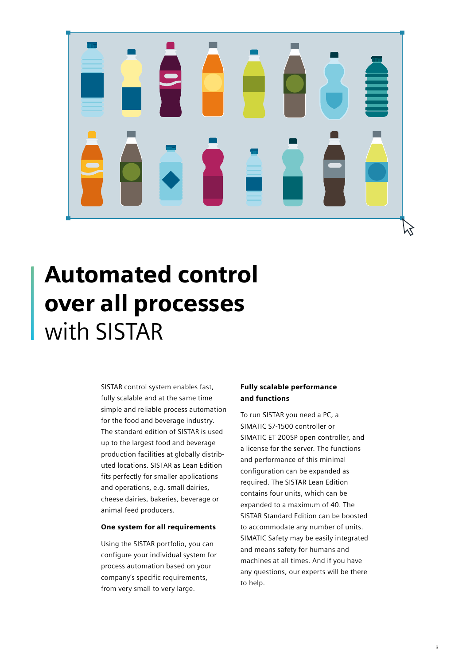# ┍

# Automated control over all processes with SISTAR

SISTAR control system enables fast, fully scalable and at the same time simple and reliable process automation for the food and beverage industry. The standard edition of SISTAR is used up to the largest food and beverage production facilities at globally distributed locations. SISTAR as Lean Edition fits perfectly for smaller applications and operations, e.g. small dairies, cheese dairies, bakeries, beverage or animal feed producers.

#### One system for all requirements

Using the SISTAR portfolio, you can configure your individual system for process automation based on your company's specific requirements, from very small to very large.

#### Fully scalable performance and functions

To run SISTAR you need a PC, a SIMATIC S7-1500 controller or SIMATIC ET 200SP open controller, and a license for the server. The functions and performance of this minimal configuration can be expanded as required. The SISTAR Lean Edition contains four units, which can be expanded to a maximum of 40. The SISTAR Standard Edition can be boosted to accommodate any number of units. SIMATIC Safety may be easily integrated and means safety for humans and machines at all times. And if you have any questions, our experts will be there to help.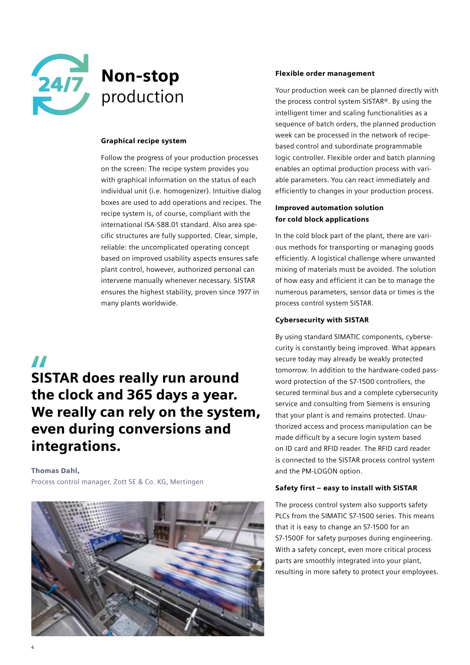

## Non-stop production

#### Graphical recipe system

Follow the progress of your production processes on the screen: The recipe system provides you with graphical information on the status of each individual unit (i.e. homogenizer). Intuitive dialog boxes are used to add operations and recipes. The recipe system is, of course, compliant with the international ISA-S88.01 standard. Also area specific structures are fully supported. Clear, simple, reliable: the uncomplicated operating concept based on improved usability aspects ensures safe plant control, however, authorized personal can intervene manually whenever necessary. SISTAR ensures the highest stability, proven since 1977 in many plants worldwide.

#### $\boldsymbol{H}$

### SISTAR does really run around the clock and 365 days a year. We really can rely on the system, even during conversions and integrations.

#### Thomas Dahl,

Process control manager, Zott SE & Co. KG, Mertingen



#### Flexible order management

Your production week can be planned directly with the process control system SISTAR®. By using the intelligent timer and scaling functionalities as a sequence of batch orders, the planned production week can be processed in the network of recipebased control and subordinate programmable logic controller. Flexible order and batch planning enables an optimal production process with variable parameters. You can react immediately and efficiently to changes in your production process.

#### Improved automation solution for cold block applications

In the cold block part of the plant, there are various methods for transporting or managing goods efficiently. A logistical challenge where unwanted mixing of materials must be avoided. The solution of how easy and efficient it can be to manage the numerous parameters, sensor data or times is the process control system SISTAR.

#### Cybersecurity with SISTAR

By using standard SIMATIC components, cybersecurity is constantly being improved. What appears secure today may already be weakly protected tomorrow. In addition to the hardware-coded password protection of the S7-1500 controllers, the secured terminal bus and a complete cybersecurity service and consulting from Siemens is ensuring that your plant is and remains protected. Unauthorized access and process manipulation can be made difficult by a secure login system based on ID card and RFID reader. The RFID card reader is connected to the SISTAR process control system and the PM-LOGON option.

#### Safety first – easy to install with SISTAR

The process control system also supports safety PLCs from the SIMATIC S7-1500 series. This means that it is easy to change an S7-1500 for an S7-1500F for safety purposes during engineering. With a safety concept, even more critical process parts are smoothly integrated into your plant, resulting in more safety to protect your employees.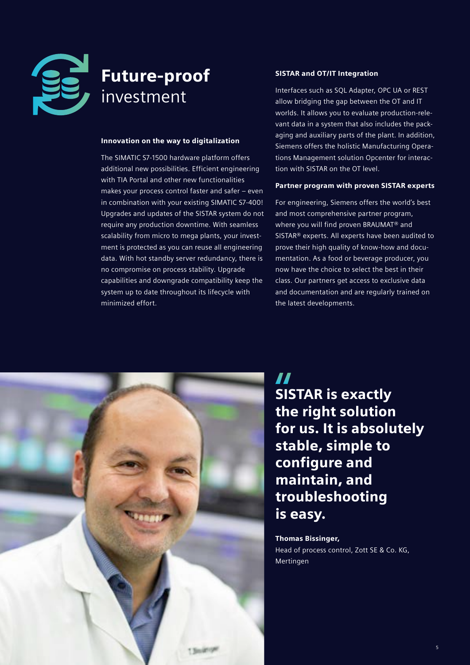

## Future-proof investment

#### Innovation on the way to digitalization

The SIMATIC S7-1500 hardware platform offers additional new possibilities. Efficient engineering with TIA Portal and other new functionalities makes your process control faster and safer – even in combination with your existing SIMATIC S7-400! Upgrades and updates of the SISTAR system do not require any production downtime. With seamless scalability from micro to mega plants, your investment is protected as you can reuse all engineering data. With hot standby server redundancy, there is no compromise on process stability. Upgrade capabilities and downgrade compatibility keep the system up to date throughout its lifecycle with minimized effort.

#### SISTAR and OT/IT Integration

Interfaces such as SQL Adapter, OPC UA or REST allow bridging the gap between the OT and IT worlds. It allows you to evaluate production-relevant data in a system that also includes the packaging and auxiliary parts of the plant. In addition, Siemens offers the holistic Manufacturing Operations Management solution Opcenter for interaction with SISTAR on the OT level.

#### Partner program with proven SISTAR experts

For engineering, Siemens offers the world's best and most comprehensive partner program, where you will find proven BRAUMAT® and SISTAR® experts. All experts have been audited to prove their high quality of know-how and documentation. As a food or beverage producer, you now have the choice to select the best in their class. Our partners get access to exclusive data and documentation and are regularly trained on the latest developments.



77 SISTAR is exactly the right solution for us. It is absolutely stable, simple to configure and maintain, and troubleshooting is easy.

#### Thomas Bissinger,

Head of process control, Zott SE & Co. KG, Mertingen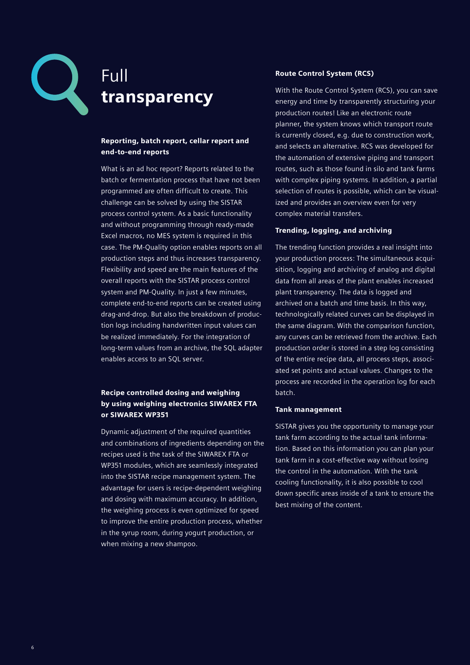

## Full transparency

#### Reporting, batch report, cellar report and end-to-end reports

What is an ad hoc report? Reports related to the batch or fermentation process that have not been programmed are often difficult to create. This challenge can be solved by using the SISTAR process control system. As a basic functionality and without programming through ready-made Excel macros, no MES system is required in this case. The PM-Quality option enables reports on all production steps and thus increases transparency. Flexibility and speed are the main features of the overall reports with the SISTAR process control system and PM-Quality. In just a few minutes, complete end-to-end reports can be created using drag-and-drop. But also the breakdown of production logs including handwritten input values can be realized immediately. For the integration of long-term values from an archive, the SQL adapter enables access to an SQL server.

#### Recipe controlled dosing and weighing by using weighing electronics SIWAREX FTA or SIWAREX WP351

Dynamic adjustment of the required quantities and combinations of ingredients depending on the recipes used is the task of the SIWAREX FTA or WP351 modules, which are seamlessly integrated into the SISTAR recipe management system. The advantage for users is recipe-dependent weighing and dosing with maximum accuracy. In addition, the weighing process is even optimized for speed to improve the entire production process, whether in the syrup room, during yogurt production, or when mixing a new shampoo.

#### Route Control System (RCS)

With the Route Control System (RCS), you can save energy and time by transparently structuring your production routes! Like an electronic route planner, the system knows which transport route is currently closed, e.g. due to construction work, and selects an alternative. RCS was developed for the automation of extensive piping and transport routes, such as those found in silo and tank farms with complex piping systems. In addition, a partial selection of routes is possible, which can be visualized and provides an overview even for very complex material transfers.

#### Trending, logging, and archiving

The trending function provides a real insight into your production process: The simultaneous acquisition, logging and archiving of analog and digital data from all areas of the plant enables increased plant transparency. The data is logged and archived on a batch and time basis. In this way, technologically related curves can be displayed in the same diagram. With the comparison function, any curves can be retrieved from the archive. Each production order is stored in a step log consisting of the entire recipe data, all process steps, associated set points and actual values. Changes to the process are recorded in the operation log for each batch.

#### Tank management

SISTAR gives you the opportunity to manage your tank farm according to the actual tank information. Based on this information you can plan your tank farm in a cost-effective way without losing the control in the automation. With the tank cooling functionality, it is also possible to cool down specific areas inside of a tank to ensure the best mixing of the content.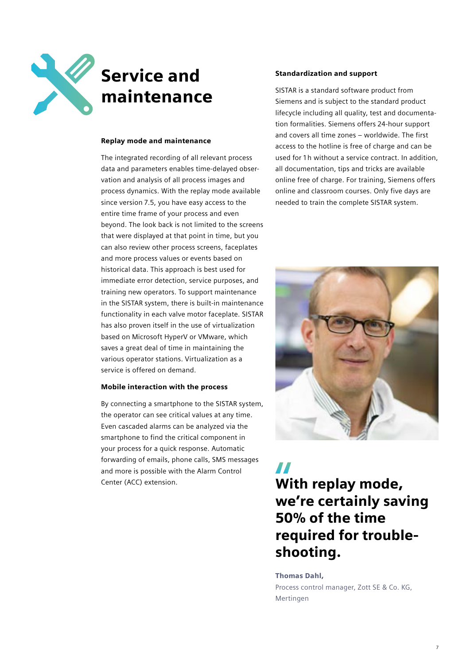

# Service and maintenance

#### Replay mode and maintenance

The integrated recording of all relevant process data and parameters enables time-delayed observation and analysis of all process images and process dynamics. With the replay mode available since version 7.5, you have easy access to the entire time frame of your process and even beyond. The look back is not limited to the screens that were displayed at that point in time, but you can also review other process screens, faceplates and more process values or events based on historical data. This approach is best used for immediate error detection, service purposes, and training new operators. To support maintenance in the SISTAR system, there is built-in maintenance functionality in each valve motor faceplate. SISTAR has also proven itself in the use of virtualization based on Microsoft HyperV or VMware, which saves a great deal of time in maintaining the various operator stations. Virtualization as a service is offered on demand.

#### Mobile interaction with the process

By connecting a smartphone to the SISTAR system, the operator can see critical values at any time. Even cascaded alarms can be analyzed via the smartphone to find the critical component in your process for a quick response. Automatic forwarding of emails, phone calls, SMS messages and more is possible with the Alarm Control Center (ACC) extension.

#### Standardization and support

SISTAR is a standard software product from Siemens and is subject to the standard product lifecycle including all quality, test and documentation formalities. Siemens offers 24-hour support and covers all time zones – worldwide. The first access to the hotline is free of charge and can be used for 1 h without a service contract. In addition, all documentation, tips and tricks are available online free of charge. For training, Siemens offers online and classroom courses. Only five days are needed to train the complete SISTAR system.



77 With replay mode, we're certainly saving 50% of the time required for troubleshooting.

Thomas Dahl, Process control manager, Zott SE & Co. KG, Mertingen